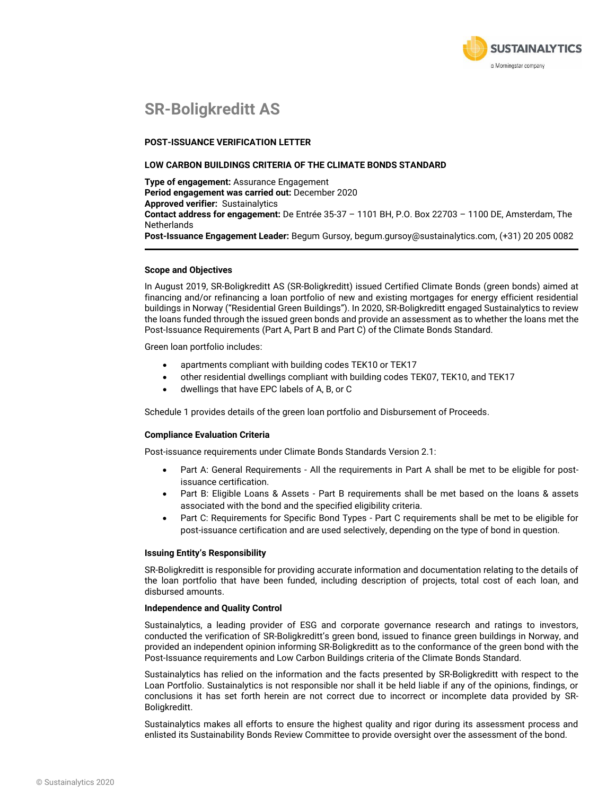

## **SR-Boligkreditt AS**

#### **POST-ISSUANCE VERIFICATION LETTER**

#### **LOW CARBON BUILDINGS CRITERIA OF THE CLIMATE BONDS STANDARD**

**Type of engagement:** Assurance Engagement **Period engagement was carried out:** December 2020 **Approved verifier:** Sustainalytics **Contact address for engagement:** De Entrée 35-37 – 1101 BH, P.O. Box 22703 – 1100 DE, Amsterdam, The **Netherlands Post-Issuance Engagement Leader:** Begum Gursoy, begum.gursoy@sustainalytics.com, (+31) 20 205 0082

#### **Scope and Objectives**

In August 2019, SR-Boligkreditt AS (SR-Boligkreditt) issued Certified Climate Bonds (green bonds) aimed at financing and/or refinancing a loan portfolio of new and existing mortgages for energy efficient residential buildings in Norway ("Residential Green Buildings"). In 2020, SR-Boligkreditt engaged Sustainalytics to review the loans funded through the issued green bonds and provide an assessment as to whether the loans met the Post-Issuance Requirements (Part A, Part B and Part C) of the Climate Bonds Standard.

Green loan portfolio includes:

- apartments compliant with building codes TEK10 or TEK17
- other residential dwellings compliant with building codes TEK07, TEK10, and TEK17
- dwellings that have EPC labels of A, B, or C

Schedule 1 provides details of the green loan portfolio and Disbursement of Proceeds.

#### **Compliance Evaluation Criteria**

Post-issuance requirements under Climate Bonds Standards Version 2.1:

- Part A: General Requirements All the requirements in Part A shall be met to be eligible for postissuance certification.
- Part B: Eligible Loans & Assets Part B requirements shall be met based on the loans & assets associated with the bond and the specified eligibility criteria.
- Part C: Requirements for Specific Bond Types Part C requirements shall be met to be eligible for post-issuance certification and are used selectively, depending on the type of bond in question.

#### **Issuing Entity's Responsibility**

SR-Boligkreditt is responsible for providing accurate information and documentation relating to the details of the loan portfolio that have been funded, including description of projects, total cost of each loan, and disbursed amounts.

#### **Independence and Quality Control**

Sustainalytics, a leading provider of ESG and corporate governance research and ratings to investors, conducted the verification of SR-Boligkreditt's green bond, issued to finance green buildings in Norway, and provided an independent opinion informing SR-Boligkreditt as to the conformance of the green bond with the Post-Issuance requirements and Low Carbon Buildings criteria of the Climate Bonds Standard.

Sustainalytics has relied on the information and the facts presented by SR-Boligkreditt with respect to the Loan Portfolio. Sustainalytics is not responsible nor shall it be held liable if any of the opinions, findings, or conclusions it has set forth herein are not correct due to incorrect or incomplete data provided by SR-Boligkreditt.

Sustainalytics makes all efforts to ensure the highest quality and rigor during its assessment process and enlisted its Sustainability Bonds Review Committee to provide oversight over the assessment of the bond.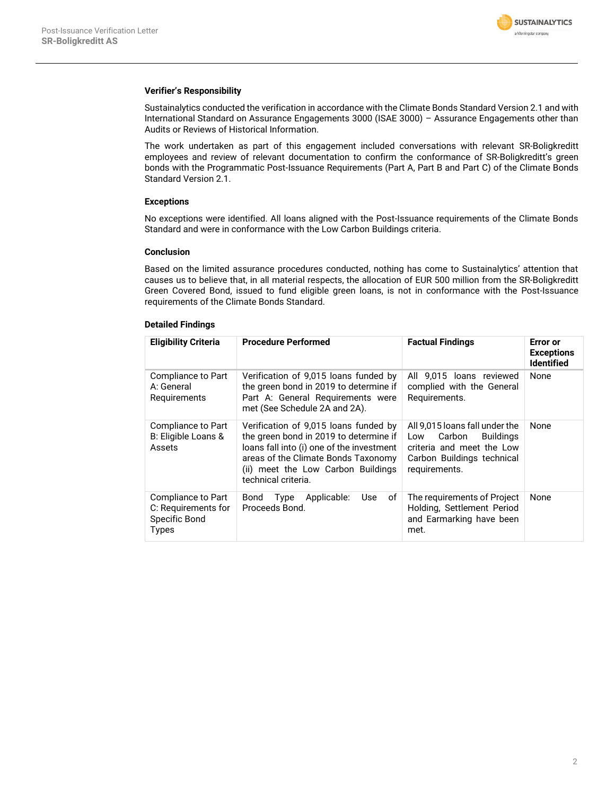

### **Verifier's Responsibility**

Sustainalytics conducted the verification in accordance with the Climate Bonds Standard Version 2.1 and with International Standard on Assurance Engagements 3000 (ISAE 3000) – Assurance Engagements other than Audits or Reviews of Historical Information.

The work undertaken as part of this engagement included conversations with relevant SR-Boligkreditt employees and review of relevant documentation to confirm the conformance of SR-Boligkreditt's green bonds with the Programmatic Post-Issuance Requirements (Part A, Part B and Part C) of the Climate Bonds Standard Version 2.1.

### **Exceptions**

No exceptions were identified. All loans aligned with the Post-Issuance requirements of the Climate Bonds Standard and were in conformance with the Low Carbon Buildings criteria.

### **Conclusion**

Based on the limited assurance procedures conducted, nothing has come to Sustainalytics' attention that causes us to believe that, in all material respects, the allocation of EUR 500 million from the SR-Boligkreditt Green Covered Bond, issued to fund eligible green loans, is not in conformance with the Post-Issuance requirements of the Climate Bonds Standard.

### **Detailed Findings**

| <b>Eligibility Criteria</b>                                                | <b>Procedure Performed</b>                                                                                                                                                                                                       | <b>Factual Findings</b>                                                                                                                         | Error or<br><b>Exceptions</b><br><b>Identified</b> |
|----------------------------------------------------------------------------|----------------------------------------------------------------------------------------------------------------------------------------------------------------------------------------------------------------------------------|-------------------------------------------------------------------------------------------------------------------------------------------------|----------------------------------------------------|
| Compliance to Part<br>A: General<br>Requirements                           | Verification of 9,015 loans funded by<br>the green bond in 2019 to determine if<br>Part A: General Requirements were<br>met (See Schedule 2A and 2A).                                                                            | All 9.015 loans reviewed<br>complied with the General<br>Requirements.                                                                          | None                                               |
| Compliance to Part<br>B: Eligible Loans &<br>Assets                        | Verification of 9,015 loans funded by<br>the green bond in 2019 to determine if<br>loans fall into (i) one of the investment<br>areas of the Climate Bonds Taxonomy<br>(ii) meet the Low Carbon Buildings<br>technical criteria. | All 9,015 loans fall under the<br>Carbon<br><b>Buildings</b><br>Low<br>criteria and meet the Low<br>Carbon Buildings technical<br>requirements. | None                                               |
| Compliance to Part<br>C: Requirements for<br>Specific Bond<br><b>Types</b> | οf<br>Bond<br>Type<br>Applicable:<br>Use<br>Proceeds Bond.                                                                                                                                                                       | The requirements of Project<br>Holding, Settlement Period<br>and Earmarking have been<br>met.                                                   | None                                               |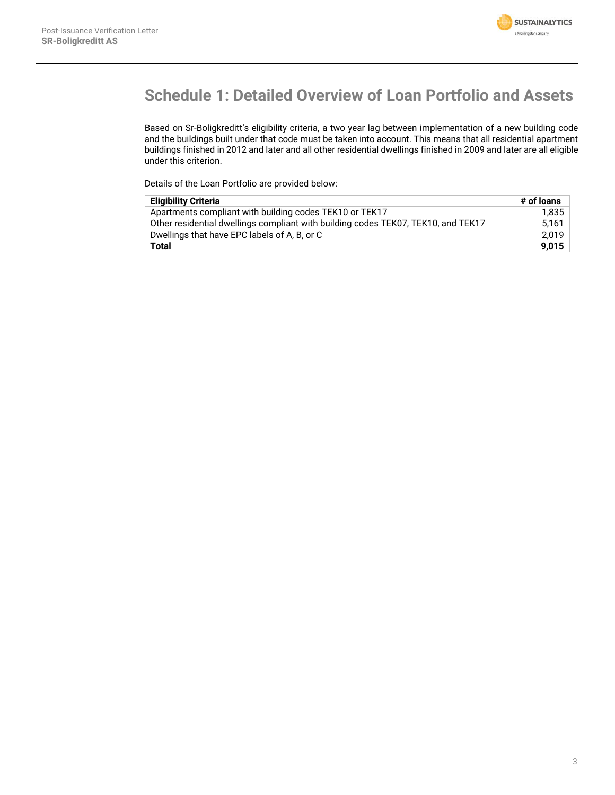

# **Schedule 1: Detailed Overview of Loan Portfolio and Assets**

Based on Sr-Boligkreditt's eligibility criteria, a two year lag between implementation of a new building code and the buildings built under that code must be taken into account. This means that all residential apartment buildings finished in 2012 and later and all other residential dwellings finished in 2009 and later are all eligible under this criterion.

Details of the Loan Portfolio are provided below:

| <b>Eligibility Criteria</b>                                                       |       |
|-----------------------------------------------------------------------------------|-------|
| Apartments compliant with building codes TEK10 or TEK17                           | 1,835 |
| Other residential dwellings compliant with building codes TEK07, TEK10, and TEK17 | 5.161 |
| Dwellings that have EPC labels of A, B, or C                                      | 2.019 |
| Total                                                                             | 9.015 |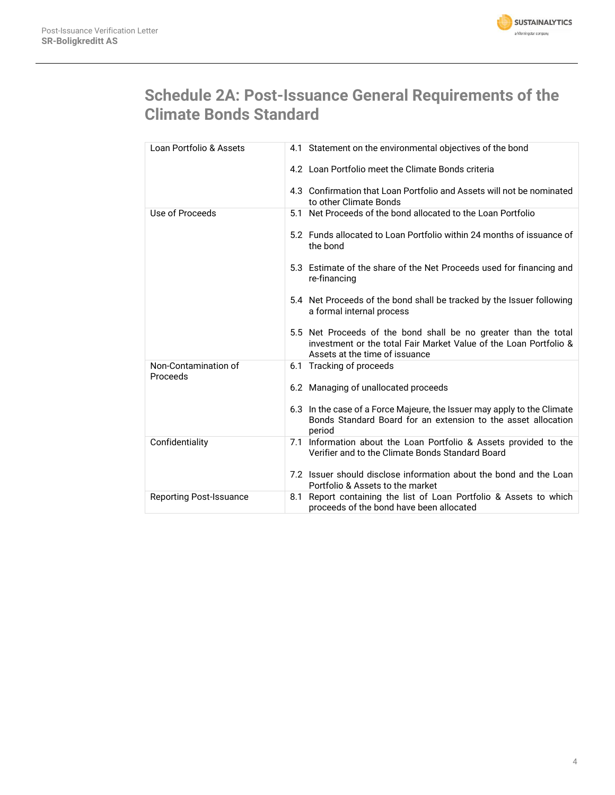

# **Schedule 2A: Post-Issuance General Requirements of the Climate Bonds Standard**

| Loan Portfolio & Assets          | 4.1 Statement on the environmental objectives of the bond                                                                                                              |
|----------------------------------|------------------------------------------------------------------------------------------------------------------------------------------------------------------------|
|                                  | 4.2 Loan Portfolio meet the Climate Bonds criteria                                                                                                                     |
|                                  | 4.3 Confirmation that Loan Portfolio and Assets will not be nominated<br>to other Climate Bonds                                                                        |
| Use of Proceeds                  | 5.1 Net Proceeds of the bond allocated to the Loan Portfolio                                                                                                           |
|                                  | 5.2 Funds allocated to Loan Portfolio within 24 months of issuance of<br>the bond                                                                                      |
|                                  | 5.3 Estimate of the share of the Net Proceeds used for financing and<br>re-financing                                                                                   |
|                                  | 5.4 Net Proceeds of the bond shall be tracked by the Issuer following<br>a formal internal process                                                                     |
|                                  | 5.5 Net Proceeds of the bond shall be no greater than the total<br>investment or the total Fair Market Value of the Loan Portfolio &<br>Assets at the time of issuance |
| Non-Contamination of<br>Proceeds | 6.1 Tracking of proceeds                                                                                                                                               |
|                                  | 6.2 Managing of unallocated proceeds                                                                                                                                   |
|                                  | 6.3 In the case of a Force Majeure, the Issuer may apply to the Climate<br>Bonds Standard Board for an extension to the asset allocation<br>period                     |
| Confidentiality                  | 7.1 Information about the Loan Portfolio & Assets provided to the<br>Verifier and to the Climate Bonds Standard Board                                                  |
|                                  | 7.2 Issuer should disclose information about the bond and the Loan<br>Portfolio & Assets to the market                                                                 |
| <b>Reporting Post-Issuance</b>   | 8.1 Report containing the list of Loan Portfolio & Assets to which<br>proceeds of the bond have been allocated                                                         |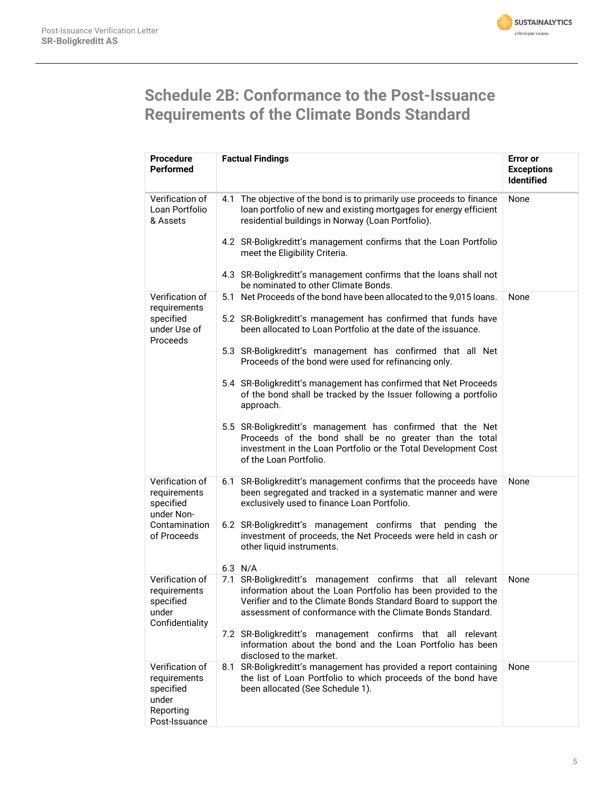

# **Schedule 2B: Conformance to the Post-Issuance Requirements of the Climate Bonds Standard**

| <b>Procedure</b><br><b>Performed</b>                                                | <b>Factual Findings</b>                                                                                                                                                                                                                                       | <b>Error</b> or<br><b>Exceptions</b><br><b>Identified</b> |  |
|-------------------------------------------------------------------------------------|---------------------------------------------------------------------------------------------------------------------------------------------------------------------------------------------------------------------------------------------------------------|-----------------------------------------------------------|--|
| Verification of<br>Loan Portfolio<br>& Assets                                       | 4.1 The objective of the bond is to primarily use proceeds to finance<br>loan portfolio of new and existing mortgages for energy efficient<br>residential buildings in Norway (Loan Portfolio).                                                               | None                                                      |  |
|                                                                                     | 4.2 SR-Boligkreditt's management confirms that the Loan Portfolio<br>meet the Eligibility Criteria.                                                                                                                                                           |                                                           |  |
|                                                                                     | 4.3 SR-Boligkreditt's management confirms that the loans shall not<br>be nominated to other Climate Bonds.                                                                                                                                                    |                                                           |  |
| Verification of<br>requirements<br>specified<br>under Use of<br>Proceeds            | 5.1 Net Proceeds of the bond have been allocated to the 9,015 loans.                                                                                                                                                                                          | None                                                      |  |
|                                                                                     | 5.2 SR-Boligkreditt's management has confirmed that funds have<br>been allocated to Loan Portfolio at the date of the issuance.                                                                                                                               |                                                           |  |
|                                                                                     | 5.3 SR-Boligkreditt's management has confirmed that all Net<br>Proceeds of the bond were used for refinancing only.                                                                                                                                           |                                                           |  |
|                                                                                     | 5.4 SR-Boligkreditt's management has confirmed that Net Proceeds<br>of the bond shall be tracked by the Issuer following a portfolio<br>approach.                                                                                                             |                                                           |  |
|                                                                                     | 5.5 SR-Boligkreditt's management has confirmed that the Net<br>Proceeds of the bond shall be no greater than the total<br>investment in the Loan Portfolio or the Total Development Cost<br>of the Loan Portfolio.                                            |                                                           |  |
| Verification of<br>requirements<br>specified                                        | SR-Boligkreditt's management confirms that the proceeds have<br>6.1<br>been segregated and tracked in a systematic manner and were<br>exclusively used to finance Loan Portfolio.                                                                             | None                                                      |  |
| under Non-<br>Contamination<br>of Proceeds                                          | 6.2 SR-Boligkreditt's management confirms that pending the<br>investment of proceeds, the Net Proceeds were held in cash or<br>other liquid instruments.                                                                                                      |                                                           |  |
| Verification of                                                                     | 6.3 N/A                                                                                                                                                                                                                                                       |                                                           |  |
| requirements<br>specified<br>under<br>Confidentiality                               | 7.1 SR-Boligkreditt's management confirms that all relevant<br>information about the Loan Portfolio has been provided to the<br>Verifier and to the Climate Bonds Standard Board to support the<br>assessment of conformance with the Climate Bonds Standard. | None                                                      |  |
|                                                                                     | 7.2 SR-Boligkreditt's management confirms that all relevant<br>information about the bond and the Loan Portfolio has been<br>disclosed to the market.                                                                                                         |                                                           |  |
| Verification of<br>requirements<br>specified<br>under<br>Reporting<br>Post-Issuance | SR-Boligkreditt's management has provided a report containing<br>8.1<br>the list of Loan Portfolio to which proceeds of the bond have<br>been allocated (See Schedule 1).                                                                                     | None                                                      |  |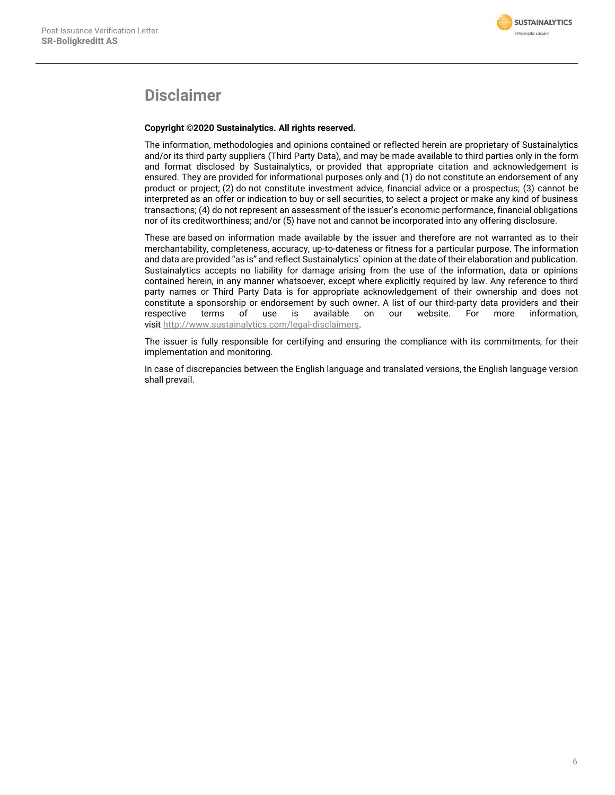

## **Disclaimer**

### **Copyright ©2020 Sustainalytics. All rights reserved.**

The information, methodologies and opinions contained or reflected herein are proprietary of Sustainalytics and/or its third party suppliers (Third Party Data), and may be made available to third parties only in the form and format disclosed by Sustainalytics, or provided that appropriate citation and acknowledgement is ensured. They are provided for informational purposes only and (1) do not constitute an endorsement of any product or project; (2) do not constitute investment advice, financial advice or a prospectus; (3) cannot be interpreted as an offer or indication to buy or sell securities, to select a project or make any kind of business transactions; (4) do not represent an assessment of the issuer's economic performance, financial obligations nor of its creditworthiness; and/or (5) have not and cannot be incorporated into any offering disclosure.

These are based on information made available by the issuer and therefore are not warranted as to their merchantability, completeness, accuracy, up-to-dateness or fitness for a particular purpose. The information and data are provided "as is" and reflect Sustainalytics` opinion at the date of their elaboration and publication. Sustainalytics accepts no liability for damage arising from the use of the information, data or opinions contained herein, in any manner whatsoever, except where explicitly required by law. Any reference to third party names or Third Party Data is for appropriate acknowledgement of their ownership and does not constitute a sponsorship or endorsement by such owner. A list of our third-party data providers and their<br>respective terms of use is available on our website. For more information. respective terms of use is available on our website. For more information, visit [http://www.sustainalytics.com/legal-disclaimers.](http://www.sustainalytics.com/legal-disclaimers)

The issuer is fully responsible for certifying and ensuring the compliance with its commitments, for their implementation and monitoring.

In case of discrepancies between the English language and translated versions, the English language version shall prevail.